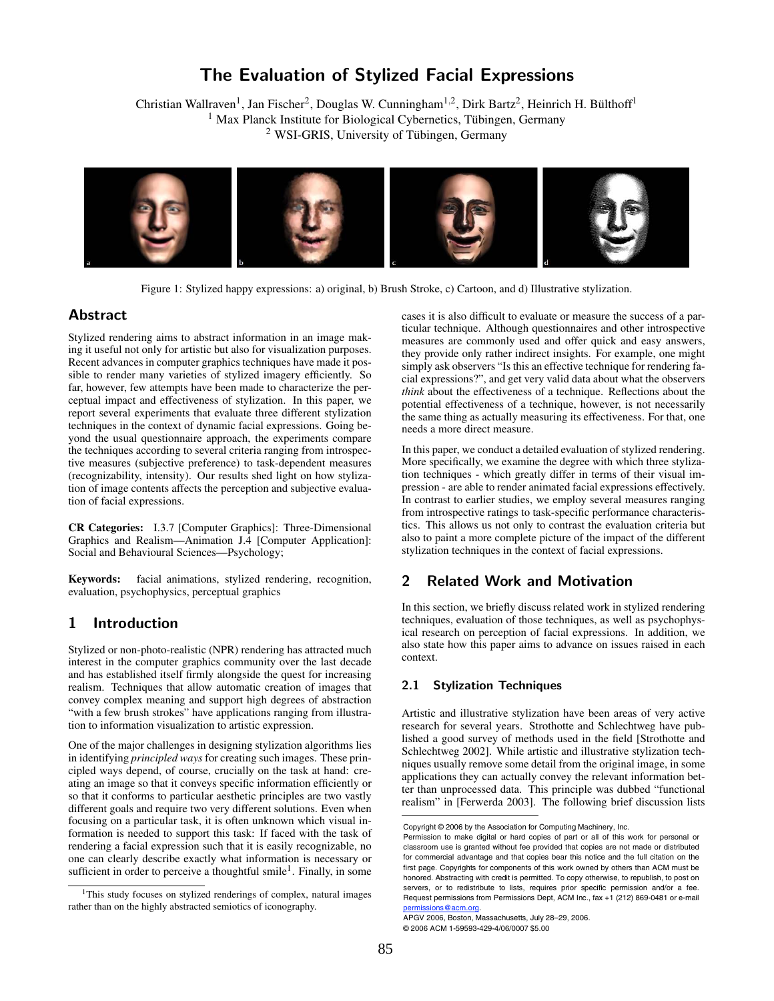# The Evaluation of Stylized Facial Expressions

Christian Wallraven<sup>1</sup>, Jan Fischer<sup>2</sup>, Douglas W. Cunningham<sup>1,2</sup>, Dirk Bartz<sup>2</sup>, Heinrich H. Bülthoff<sup>1</sup>  $<sup>1</sup>$  Max Planck Institute for Biological Cybernetics, Tübingen, Germany</sup>  $2$  WSI-GRIS, University of Tübingen, Germany



Figure 1: Stylized happy expressions: a) original, b) Brush Stroke, c) Cartoon, and d) Illustrative stylization.

# **Abstract**

Stylized rendering aims to abstract information in an image making it useful not only for artistic but also for visualization purposes. Recent advances in computer graphics techniques have made it possible to render many varieties of stylized imagery efficiently. So far, however, few attempts have been made to characterize the perceptual impact and effectiveness of stylization. In this paper, we report several experiments that evaluate three different stylization techniques in the context of dynamic facial expressions. Going beyond the usual questionnaire approach, the experiments compare the techniques according to several criteria ranging from introspective measures (subjective preference) to task-dependent measures (recognizability, intensity). Our results shed light on how stylization of image contents affects the perception and subjective evaluation of facial expressions.

CR Categories: I.3.7 [Computer Graphics]: Three-Dimensional Graphics and Realism—Animation J.4 [Computer Application]: Social and Behavioural Sciences—Psychology;

Keywords: facial animations, stylized rendering, recognition, evaluation, psychophysics, perceptual graphics

# 1 Introduction

Stylized or non-photo-realistic (NPR) rendering has attracted much interest in the computer graphics community over the last decade and has established itself firmly alongside the quest for increasing realism. Techniques that allow automatic creation of images that convey complex meaning and support high degrees of abstraction "with a few brush strokes" have applications ranging from illustration to information visualization to artistic expression.

One of the major challenges in designing stylization algorithms lies in identifying *principled ways* for creating such images. These principled ways depend, of course, crucially on the task at hand: creating an image so that it conveys specific information efficiently or so that it conforms to particular aesthetic principles are two vastly different goals and require two very different solutions. Even when focusing on a particular task, it is often unknown which visual information is needed to support this task: If faced with the task of rendering a facial expression such that it is easily recognizable, no one can clearly describe exactly what information is necessary or sufficient in order to perceive a thoughtful smile<sup>1</sup>. Finally, in some

cases it is also difficult to evaluate or measure the success of a particular technique. Although questionnaires and other introspective measures are commonly used and offer quick and easy answers, they provide only rather indirect insights. For example, one might simply ask observers "Is this an effective technique for rendering facial expressions?", and get very valid data about what the observers *think* about the effectiveness of a technique. Reflections about the potential effectiveness of a technique, however, is not necessarily the same thing as actually measuring its effectiveness. For that, one needs a more direct measure.

In this paper, we conduct a detailed evaluation of stylized rendering. More specifically, we examine the degree with which three stylization techniques - which greatly differ in terms of their visual impression - are able to render animated facial expressions effectively. In contrast to earlier studies, we employ several measures ranging from introspective ratings to task-specific performance characteristics. This allows us not only to contrast the evaluation criteria but also to paint a more complete picture of the impact of the different stylization techniques in the context of facial expressions.

# 2 Related Work and Motivation

In this section, we briefly discuss related work in stylized rendering techniques, evaluation of those techniques, as well as psychophysical research on perception of facial expressions. In addition, we also state how this paper aims to advance on issues raised in each context.

# 2.1 Stylization Techniques

Artistic and illustrative stylization have been areas of very active research for several years. Strothotte and Schlechtweg have published a good survey of methods used in the field [Strothotte and Schlechtweg 2002]. While artistic and illustrative stylization techniques usually remove some detail from the original image, in some applications they can actually convey the relevant information better than unprocessed data. This principle was dubbed "functional realism" in [Ferwerda 2003]. The following brief discussion lists

<sup>&</sup>lt;sup>1</sup>This study focuses on stylized renderings of complex, natural images rather than on the highly abstracted semiotics of iconography.

Copyright © 2006 by the Association for Computing Machinery, Inc.

Permission to make digital or hard copies of part or all of this work for personal or classroom use is granted without fee provided that copies are not made or distributed for commercial advantage and that copies bear this notice and the full citation on the first page. Copyrights for components of this work owned by others than ACM must be honored. Abstracting with credit is permitted. To copy otherwise, to republish, to post on servers, or to redistribute to lists, requires prior specific permission and/or a fee. Request permissions from Permissions Dept, ACM Inc., fax +1 (212) 869-0481 or e-mail s@acm.or

APGV 2006, Boston, Massachusetts, July 28–29, 2006. © 2006 ACM 1-59593-429-4/06/0007 \$5.00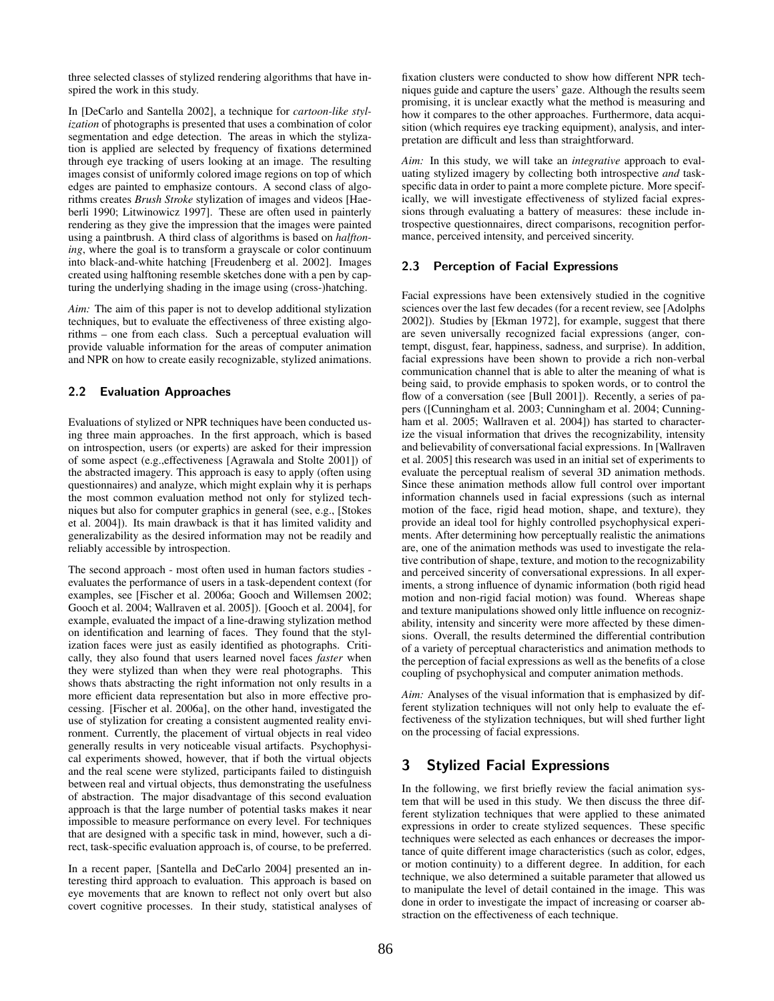three selected classes of stylized rendering algorithms that have inspired the work in this study.

In [DeCarlo and Santella 2002], a technique for *cartoon-like stylization* of photographs is presented that uses a combination of color segmentation and edge detection. The areas in which the stylization is applied are selected by frequency of fixations determined through eye tracking of users looking at an image. The resulting images consist of uniformly colored image regions on top of which edges are painted to emphasize contours. A second class of algorithms creates *Brush Stroke* stylization of images and videos [Haeberli 1990; Litwinowicz 1997]. These are often used in painterly rendering as they give the impression that the images were painted using a paintbrush. A third class of algorithms is based on *halftoning*, where the goal is to transform a grayscale or color continuum into black-and-white hatching [Freudenberg et al. 2002]. Images created using halftoning resemble sketches done with a pen by capturing the underlying shading in the image using (cross-)hatching.

*Aim:* The aim of this paper is not to develop additional stylization techniques, but to evaluate the effectiveness of three existing algorithms – one from each class. Such a perceptual evaluation will provide valuable information for the areas of computer animation and NPR on how to create easily recognizable, stylized animations.

# 2.2 Evaluation Approaches

Evaluations of stylized or NPR techniques have been conducted using three main approaches. In the first approach, which is based on introspection, users (or experts) are asked for their impression of some aspect (e.g.,effectiveness [Agrawala and Stolte 2001]) of the abstracted imagery. This approach is easy to apply (often using questionnaires) and analyze, which might explain why it is perhaps the most common evaluation method not only for stylized techniques but also for computer graphics in general (see, e.g., [Stokes et al. 2004]). Its main drawback is that it has limited validity and generalizability as the desired information may not be readily and reliably accessible by introspection.

The second approach - most often used in human factors studies evaluates the performance of users in a task-dependent context (for examples, see [Fischer et al. 2006a; Gooch and Willemsen 2002; Gooch et al. 2004; Wallraven et al. 2005]). [Gooch et al. 2004], for example, evaluated the impact of a line-drawing stylization method on identification and learning of faces. They found that the stylization faces were just as easily identified as photographs. Critically, they also found that users learned novel faces *faster* when they were stylized than when they were real photographs. This shows thats abstracting the right information not only results in a more efficient data representation but also in more effective processing. [Fischer et al. 2006a], on the other hand, investigated the use of stylization for creating a consistent augmented reality environment. Currently, the placement of virtual objects in real video generally results in very noticeable visual artifacts. Psychophysical experiments showed, however, that if both the virtual objects and the real scene were stylized, participants failed to distinguish between real and virtual objects, thus demonstrating the usefulness of abstraction. The major disadvantage of this second evaluation approach is that the large number of potential tasks makes it near impossible to measure performance on every level. For techniques that are designed with a specific task in mind, however, such a direct, task-specific evaluation approach is, of course, to be preferred.

In a recent paper, [Santella and DeCarlo 2004] presented an interesting third approach to evaluation. This approach is based on eye movements that are known to reflect not only overt but also covert cognitive processes. In their study, statistical analyses of fixation clusters were conducted to show how different NPR techniques guide and capture the users' gaze. Although the results seem promising, it is unclear exactly what the method is measuring and how it compares to the other approaches. Furthermore, data acquisition (which requires eye tracking equipment), analysis, and interpretation are difficult and less than straightforward.

*Aim:* In this study, we will take an *integrative* approach to evaluating stylized imagery by collecting both introspective *and* taskspecific data in order to paint a more complete picture. More specifically, we will investigate effectiveness of stylized facial expressions through evaluating a battery of measures: these include introspective questionnaires, direct comparisons, recognition performance, perceived intensity, and perceived sincerity.

# 2.3 Perception of Facial Expressions

Facial expressions have been extensively studied in the cognitive sciences over the last few decades (for a recent review, see [Adolphs 2002]). Studies by [Ekman 1972], for example, suggest that there are seven universally recognized facial expressions (anger, contempt, disgust, fear, happiness, sadness, and surprise). In addition, facial expressions have been shown to provide a rich non-verbal communication channel that is able to alter the meaning of what is being said, to provide emphasis to spoken words, or to control the flow of a conversation (see [Bull 2001]). Recently, a series of papers ([Cunningham et al. 2003; Cunningham et al. 2004; Cunningham et al. 2005; Wallraven et al. 2004]) has started to characterize the visual information that drives the recognizability, intensity and believability of conversational facial expressions. In [Wallraven et al. 2005] this research was used in an initial set of experiments to evaluate the perceptual realism of several 3D animation methods. Since these animation methods allow full control over important information channels used in facial expressions (such as internal motion of the face, rigid head motion, shape, and texture), they provide an ideal tool for highly controlled psychophysical experiments. After determining how perceptually realistic the animations are, one of the animation methods was used to investigate the relative contribution of shape, texture, and motion to the recognizability and perceived sincerity of conversational expressions. In all experiments, a strong influence of dynamic information (both rigid head motion and non-rigid facial motion) was found. Whereas shape and texture manipulations showed only little influence on recognizability, intensity and sincerity were more affected by these dimensions. Overall, the results determined the differential contribution of a variety of perceptual characteristics and animation methods to the perception of facial expressions as well as the benefits of a close coupling of psychophysical and computer animation methods.

*Aim:* Analyses of the visual information that is emphasized by different stylization techniques will not only help to evaluate the effectiveness of the stylization techniques, but will shed further light on the processing of facial expressions.

# 3 Stylized Facial Expressions

In the following, we first briefly review the facial animation system that will be used in this study. We then discuss the three different stylization techniques that were applied to these animated expressions in order to create stylized sequences. These specific techniques were selected as each enhances or decreases the importance of quite different image characteristics (such as color, edges, or motion continuity) to a different degree. In addition, for each technique, we also determined a suitable parameter that allowed us to manipulate the level of detail contained in the image. This was done in order to investigate the impact of increasing or coarser abstraction on the effectiveness of each technique.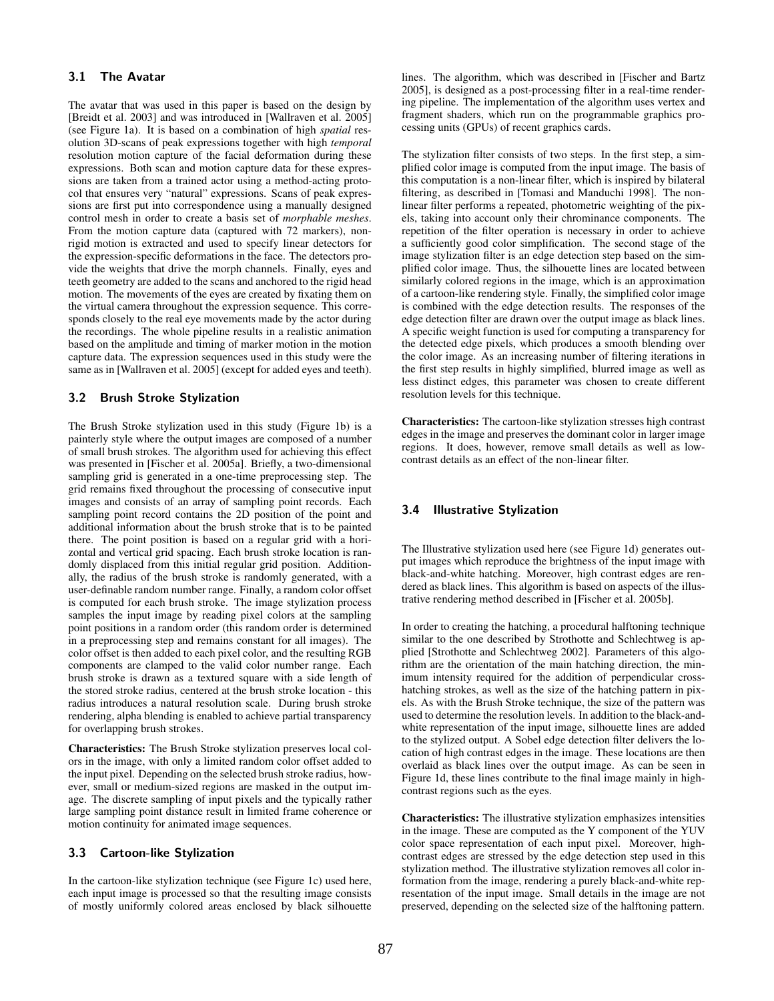## 3.1 The Avatar

The avatar that was used in this paper is based on the design by [Breidt et al. 2003] and was introduced in [Wallraven et al. 2005] (see Figure 1a). It is based on a combination of high *spatial* resolution 3D-scans of peak expressions together with high *temporal* resolution motion capture of the facial deformation during these expressions. Both scan and motion capture data for these expressions are taken from a trained actor using a method-acting protocol that ensures very "natural" expressions. Scans of peak expressions are first put into correspondence using a manually designed control mesh in order to create a basis set of *morphable meshes*. From the motion capture data (captured with 72 markers), nonrigid motion is extracted and used to specify linear detectors for the expression-specific deformations in the face. The detectors provide the weights that drive the morph channels. Finally, eyes and teeth geometry are added to the scans and anchored to the rigid head motion. The movements of the eyes are created by fixating them on the virtual camera throughout the expression sequence. This corresponds closely to the real eye movements made by the actor during the recordings. The whole pipeline results in a realistic animation based on the amplitude and timing of marker motion in the motion capture data. The expression sequences used in this study were the same as in [Wallraven et al. 2005] (except for added eyes and teeth).

#### 3.2 Brush Stroke Stylization

The Brush Stroke stylization used in this study (Figure 1b) is a painterly style where the output images are composed of a number of small brush strokes. The algorithm used for achieving this effect was presented in [Fischer et al. 2005a]. Briefly, a two-dimensional sampling grid is generated in a one-time preprocessing step. The grid remains fixed throughout the processing of consecutive input images and consists of an array of sampling point records. Each sampling point record contains the 2D position of the point and additional information about the brush stroke that is to be painted there. The point position is based on a regular grid with a horizontal and vertical grid spacing. Each brush stroke location is randomly displaced from this initial regular grid position. Additionally, the radius of the brush stroke is randomly generated, with a user-definable random number range. Finally, a random color offset is computed for each brush stroke. The image stylization process samples the input image by reading pixel colors at the sampling point positions in a random order (this random order is determined in a preprocessing step and remains constant for all images). The color offset is then added to each pixel color, and the resulting RGB components are clamped to the valid color number range. Each brush stroke is drawn as a textured square with a side length of the stored stroke radius, centered at the brush stroke location - this radius introduces a natural resolution scale. During brush stroke rendering, alpha blending is enabled to achieve partial transparency for overlapping brush strokes.

Characteristics: The Brush Stroke stylization preserves local colors in the image, with only a limited random color offset added to the input pixel. Depending on the selected brush stroke radius, however, small or medium-sized regions are masked in the output image. The discrete sampling of input pixels and the typically rather large sampling point distance result in limited frame coherence or motion continuity for animated image sequences.

#### 3.3 Cartoon-like Stylization

In the cartoon-like stylization technique (see Figure 1c) used here, each input image is processed so that the resulting image consists of mostly uniformly colored areas enclosed by black silhouette lines. The algorithm, which was described in [Fischer and Bartz 2005], is designed as a post-processing filter in a real-time rendering pipeline. The implementation of the algorithm uses vertex and fragment shaders, which run on the programmable graphics processing units (GPUs) of recent graphics cards.

The stylization filter consists of two steps. In the first step, a simplified color image is computed from the input image. The basis of this computation is a non-linear filter, which is inspired by bilateral filtering, as described in [Tomasi and Manduchi 1998]. The nonlinear filter performs a repeated, photometric weighting of the pixels, taking into account only their chrominance components. The repetition of the filter operation is necessary in order to achieve a sufficiently good color simplification. The second stage of the image stylization filter is an edge detection step based on the simplified color image. Thus, the silhouette lines are located between similarly colored regions in the image, which is an approximation of a cartoon-like rendering style. Finally, the simplified color image is combined with the edge detection results. The responses of the edge detection filter are drawn over the output image as black lines. A specific weight function is used for computing a transparency for the detected edge pixels, which produces a smooth blending over the color image. As an increasing number of filtering iterations in the first step results in highly simplified, blurred image as well as less distinct edges, this parameter was chosen to create different resolution levels for this technique.

Characteristics: The cartoon-like stylization stresses high contrast edges in the image and preserves the dominant color in larger image regions. It does, however, remove small details as well as lowcontrast details as an effect of the non-linear filter.

## 3.4 Illustrative Stylization

The Illustrative stylization used here (see Figure 1d) generates output images which reproduce the brightness of the input image with black-and-white hatching. Moreover, high contrast edges are rendered as black lines. This algorithm is based on aspects of the illustrative rendering method described in [Fischer et al. 2005b].

In order to creating the hatching, a procedural halftoning technique similar to the one described by Strothotte and Schlechtweg is applied [Strothotte and Schlechtweg 2002]. Parameters of this algorithm are the orientation of the main hatching direction, the minimum intensity required for the addition of perpendicular crosshatching strokes, as well as the size of the hatching pattern in pixels. As with the Brush Stroke technique, the size of the pattern was used to determine the resolution levels. In addition to the black-andwhite representation of the input image, silhouette lines are added to the stylized output. A Sobel edge detection filter delivers the location of high contrast edges in the image. These locations are then overlaid as black lines over the output image. As can be seen in Figure 1d, these lines contribute to the final image mainly in highcontrast regions such as the eyes.

Characteristics: The illustrative stylization emphasizes intensities in the image. These are computed as the Y component of the YUV color space representation of each input pixel. Moreover, highcontrast edges are stressed by the edge detection step used in this stylization method. The illustrative stylization removes all color information from the image, rendering a purely black-and-white representation of the input image. Small details in the image are not preserved, depending on the selected size of the halftoning pattern.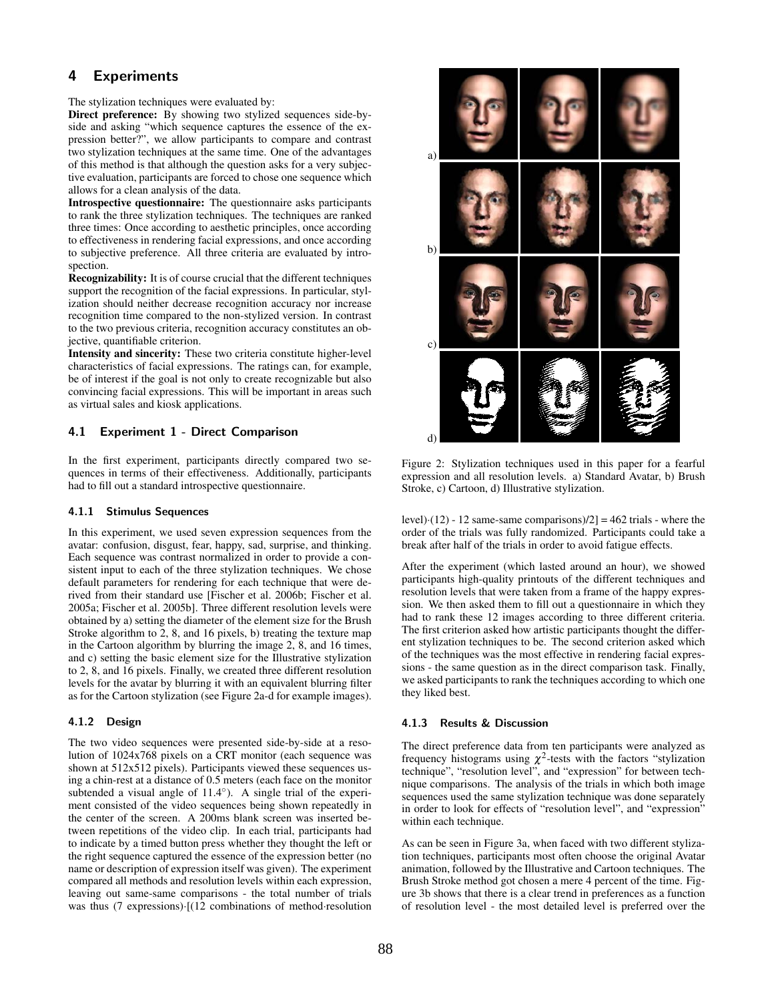# 4 Experiments

The stylization techniques were evaluated by:

Direct preference: By showing two stylized sequences side-byside and asking "which sequence captures the essence of the expression better?", we allow participants to compare and contrast two stylization techniques at the same time. One of the advantages of this method is that although the question asks for a very subjective evaluation, participants are forced to chose one sequence which allows for a clean analysis of the data.

Introspective questionnaire: The questionnaire asks participants to rank the three stylization techniques. The techniques are ranked three times: Once according to aesthetic principles, once according to effectiveness in rendering facial expressions, and once according to subjective preference. All three criteria are evaluated by introspection.

Recognizability: It is of course crucial that the different techniques support the recognition of the facial expressions. In particular, stylization should neither decrease recognition accuracy nor increase recognition time compared to the non-stylized version. In contrast to the two previous criteria, recognition accuracy constitutes an objective, quantifiable criterion.

Intensity and sincerity: These two criteria constitute higher-level characteristics of facial expressions. The ratings can, for example, be of interest if the goal is not only to create recognizable but also convincing facial expressions. This will be important in areas such as virtual sales and kiosk applications.

# 4.1 Experiment 1 - Direct Comparison

In the first experiment, participants directly compared two sequences in terms of their effectiveness. Additionally, participants had to fill out a standard introspective questionnaire.

#### 4.1.1 Stimulus Sequences

In this experiment, we used seven expression sequences from the avatar: confusion, disgust, fear, happy, sad, surprise, and thinking. Each sequence was contrast normalized in order to provide a consistent input to each of the three stylization techniques. We chose default parameters for rendering for each technique that were derived from their standard use [Fischer et al. 2006b; Fischer et al. 2005a; Fischer et al. 2005b]. Three different resolution levels were obtained by a) setting the diameter of the element size for the Brush Stroke algorithm to 2, 8, and 16 pixels, b) treating the texture map in the Cartoon algorithm by blurring the image 2, 8, and 16 times, and c) setting the basic element size for the Illustrative stylization to 2, 8, and 16 pixels. Finally, we created three different resolution levels for the avatar by blurring it with an equivalent blurring filter as for the Cartoon stylization (see Figure 2a-d for example images).

#### 4.1.2 Design

The two video sequences were presented side-by-side at a resolution of 1024x768 pixels on a CRT monitor (each sequence was shown at 512x512 pixels). Participants viewed these sequences using a chin-rest at a distance of 0.5 meters (each face on the monitor subtended a visual angle of 11.4°). A single trial of the experiment consisted of the video sequences being shown repeatedly in the center of the screen. A 200ms blank screen was inserted between repetitions of the video clip. In each trial, participants had to indicate by a timed button press whether they thought the left or the right sequence captured the essence of the expression better (no name or description of expression itself was given). The experiment compared all methods and resolution levels within each expression, leaving out same-same comparisons - the total number of trials was thus (7 expressions)·[(12 combinations of method·resolution



Figure 2: Stylization techniques used in this paper for a fearful expression and all resolution levels. a) Standard Avatar, b) Brush Stroke, c) Cartoon, d) Illustrative stylization.

level $\cdot$ (12) - 12 same-same comparisons) $/2$ ] = 462 trials - where the order of the trials was fully randomized. Participants could take a break after half of the trials in order to avoid fatigue effects.

After the experiment (which lasted around an hour), we showed participants high-quality printouts of the different techniques and resolution levels that were taken from a frame of the happy expression. We then asked them to fill out a questionnaire in which they had to rank these 12 images according to three different criteria. The first criterion asked how artistic participants thought the different stylization techniques to be. The second criterion asked which of the techniques was the most effective in rendering facial expressions - the same question as in the direct comparison task. Finally, we asked participants to rank the techniques according to which one they liked best.

#### 4.1.3 Results & Discussion

The direct preference data from ten participants were analyzed as frequency histograms using  $\chi^2$ -tests with the factors "stylization technique", "resolution level", and "expression" for between technique comparisons. The analysis of the trials in which both image sequences used the same stylization technique was done separately in order to look for effects of "resolution level", and "expression" within each technique.

As can be seen in Figure 3a, when faced with two different stylization techniques, participants most often choose the original Avatar animation, followed by the Illustrative and Cartoon techniques. The Brush Stroke method got chosen a mere 4 percent of the time. Figure 3b shows that there is a clear trend in preferences as a function of resolution level - the most detailed level is preferred over the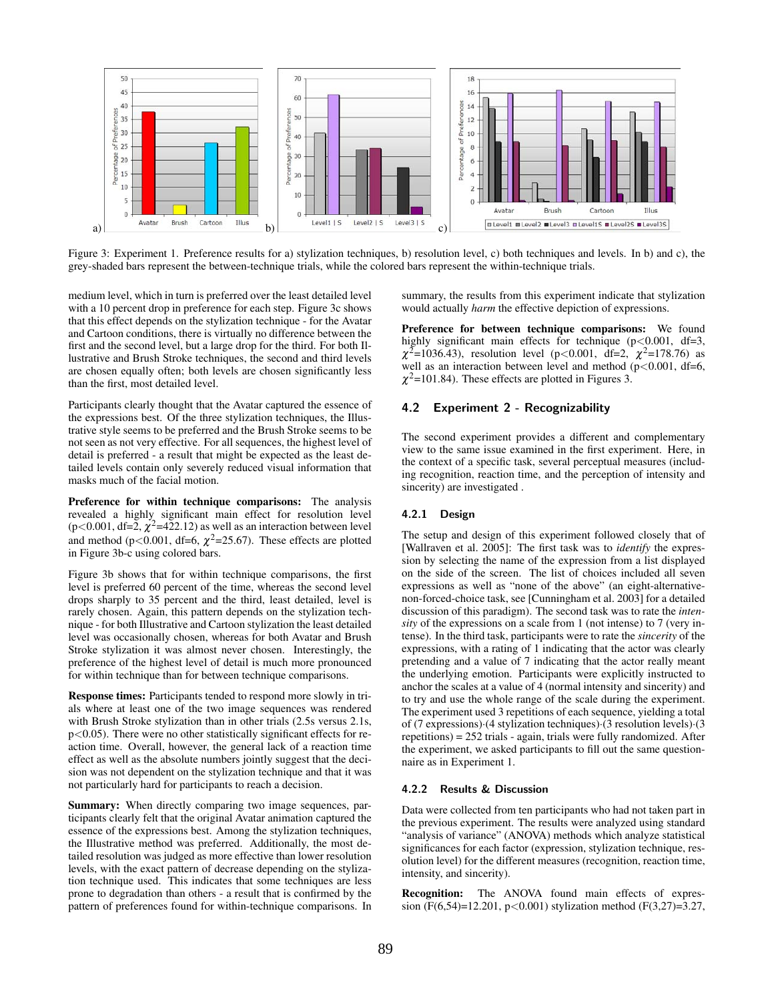

Figure 3: Experiment 1. Preference results for a) stylization techniques, b) resolution level, c) both techniques and levels. In b) and c), the grey-shaded bars represent the between-technique trials, while the colored bars represent the within-technique trials.

medium level, which in turn is preferred over the least detailed level with a 10 percent drop in preference for each step. Figure 3c shows that this effect depends on the stylization technique - for the Avatar and Cartoon conditions, there is virtually no difference between the first and the second level, but a large drop for the third. For both Illustrative and Brush Stroke techniques, the second and third levels are chosen equally often; both levels are chosen significantly less than the first, most detailed level.

Participants clearly thought that the Avatar captured the essence of the expressions best. Of the three stylization techniques, the Illustrative style seems to be preferred and the Brush Stroke seems to be not seen as not very effective. For all sequences, the highest level of detail is preferred - a result that might be expected as the least detailed levels contain only severely reduced visual information that masks much of the facial motion.

Preference for within technique comparisons: The analysis revealed a highly significant main effect for resolution level  $(p<0.001, df=2, \chi^2=422.12)$  as well as an interaction between level and method ( $p < 0.001$ , df=6,  $\chi^2$ =25.67). These effects are plotted in Figure 3b-c using colored bars.

Figure 3b shows that for within technique comparisons, the first level is preferred 60 percent of the time, whereas the second level drops sharply to 35 percent and the third, least detailed, level is rarely chosen. Again, this pattern depends on the stylization technique - for both Illustrative and Cartoon stylization the least detailed level was occasionally chosen, whereas for both Avatar and Brush Stroke stylization it was almost never chosen. Interestingly, the preference of the highest level of detail is much more pronounced for within technique than for between technique comparisons.

Response times: Participants tended to respond more slowly in trials where at least one of the two image sequences was rendered with Brush Stroke stylization than in other trials (2.5s versus 2.1s,  $p<0.05$ ). There were no other statistically significant effects for reaction time. Overall, however, the general lack of a reaction time effect as well as the absolute numbers jointly suggest that the decision was not dependent on the stylization technique and that it was not particularly hard for participants to reach a decision.

Summary: When directly comparing two image sequences, participants clearly felt that the original Avatar animation captured the essence of the expressions best. Among the stylization techniques, the Illustrative method was preferred. Additionally, the most detailed resolution was judged as more effective than lower resolution levels, with the exact pattern of decrease depending on the stylization technique used. This indicates that some techniques are less prone to degradation than others - a result that is confirmed by the pattern of preferences found for within-technique comparisons. In summary, the results from this experiment indicate that stylization would actually *harm* the effective depiction of expressions.

Preference for between technique comparisons: We found highly significant main effects for technique  $(p<0.001, df=3,$  $\chi^2$ =1036.43), resolution level (p<0.001, df=2,  $\chi^2$ =178.76) as well as an interaction between level and method  $(p<0.001, df=6,$  $\chi^2$ =101.84). These effects are plotted in Figures 3.

## 4.2 Experiment 2 - Recognizability

The second experiment provides a different and complementary view to the same issue examined in the first experiment. Here, in the context of a specific task, several perceptual measures (including recognition, reaction time, and the perception of intensity and sincerity) are investigated .

## 4.2.1 Design

The setup and design of this experiment followed closely that of [Wallraven et al. 2005]: The first task was to *identify* the expression by selecting the name of the expression from a list displayed on the side of the screen. The list of choices included all seven expressions as well as "none of the above" (an eight-alternativenon-forced-choice task, see [Cunningham et al. 2003] for a detailed discussion of this paradigm). The second task was to rate the *intensity* of the expressions on a scale from 1 (not intense) to 7 (very intense). In the third task, participants were to rate the *sincerity* of the expressions, with a rating of 1 indicating that the actor was clearly pretending and a value of 7 indicating that the actor really meant the underlying emotion. Participants were explicitly instructed to anchor the scales at a value of 4 (normal intensity and sincerity) and to try and use the whole range of the scale during the experiment. The experiment used 3 repetitions of each sequence, yielding a total of (7 expressions)·(4 stylization techniques)·(3 resolution levels)·(3 repetitions) = 252 trials - again, trials were fully randomized. After the experiment, we asked participants to fill out the same questionnaire as in Experiment 1.

#### 4.2.2 Results & Discussion

Data were collected from ten participants who had not taken part in the previous experiment. The results were analyzed using standard "analysis of variance" (ANOVA) methods which analyze statistical significances for each factor (expression, stylization technique, resolution level) for the different measures (recognition, reaction time, intensity, and sincerity).

Recognition: The ANOVA found main effects of expression (F(6,54)=12.201, p<0.001) stylization method (F(3,27)=3.27,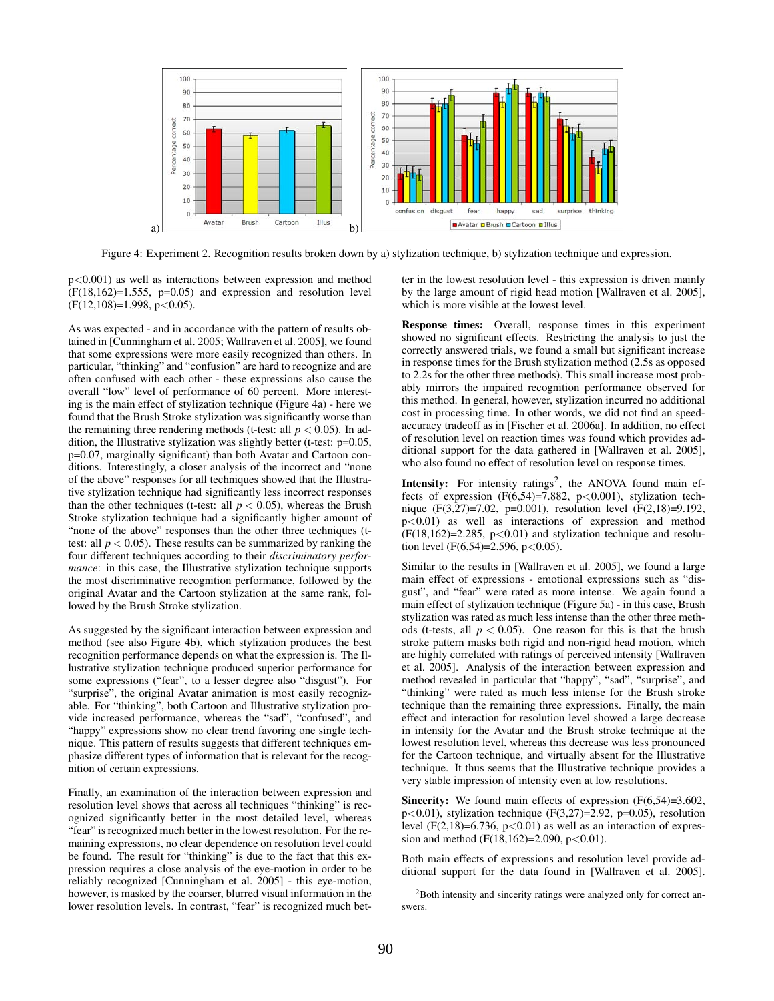

Figure 4: Experiment 2. Recognition results broken down by a) stylization technique, b) stylization technique and expression.

p<0.001) as well as interactions between expression and method  $(F(18, 162)=1.555, p=0.05)$  and expression and resolution level  $(F(12,108)=1.998, p<0.05)$ .

As was expected - and in accordance with the pattern of results obtained in [Cunningham et al. 2005; Wallraven et al. 2005], we found that some expressions were more easily recognized than others. In particular, "thinking" and "confusion" are hard to recognize and are often confused with each other - these expressions also cause the overall "low" level of performance of 60 percent. More interesting is the main effect of stylization technique (Figure 4a) - here we found that the Brush Stroke stylization was significantly worse than the remaining three rendering methods (t-test: all  $p < 0.05$ ). In addition, the Illustrative stylization was slightly better (t-test: p=0.05, p=0.07, marginally significant) than both Avatar and Cartoon conditions. Interestingly, a closer analysis of the incorrect and "none of the above" responses for all techniques showed that the Illustrative stylization technique had significantly less incorrect responses than the other techniques (t-test: all  $p < 0.05$ ), whereas the Brush Stroke stylization technique had a significantly higher amount of "none of the above" responses than the other three techniques (ttest: all  $p < 0.05$ ). These results can be summarized by ranking the four different techniques according to their *discriminatory performance*: in this case, the Illustrative stylization technique supports the most discriminative recognition performance, followed by the original Avatar and the Cartoon stylization at the same rank, followed by the Brush Stroke stylization.

As suggested by the significant interaction between expression and method (see also Figure 4b), which stylization produces the best recognition performance depends on what the expression is. The Illustrative stylization technique produced superior performance for some expressions ("fear", to a lesser degree also "disgust"). For "surprise", the original Avatar animation is most easily recognizable. For "thinking", both Cartoon and Illustrative stylization provide increased performance, whereas the "sad", "confused", and "happy" expressions show no clear trend favoring one single technique. This pattern of results suggests that different techniques emphasize different types of information that is relevant for the recognition of certain expressions.

Finally, an examination of the interaction between expression and resolution level shows that across all techniques "thinking" is recognized significantly better in the most detailed level, whereas "fear" is recognized much better in the lowest resolution. For the remaining expressions, no clear dependence on resolution level could be found. The result for "thinking" is due to the fact that this expression requires a close analysis of the eye-motion in order to be reliably recognized [Cunningham et al. 2005] - this eye-motion, however, is masked by the coarser, blurred visual information in the lower resolution levels. In contrast, "fear" is recognized much bet-

ter in the lowest resolution level - this expression is driven mainly by the large amount of rigid head motion [Wallraven et al. 2005], which is more visible at the lowest level.

Response times: Overall, response times in this experiment showed no significant effects. Restricting the analysis to just the correctly answered trials, we found a small but significant increase in response times for the Brush stylization method (2.5s as opposed to 2.2s for the other three methods). This small increase most probably mirrors the impaired recognition performance observed for this method. In general, however, stylization incurred no additional cost in processing time. In other words, we did not find an speedaccuracy tradeoff as in [Fischer et al. 2006a]. In addition, no effect of resolution level on reaction times was found which provides additional support for the data gathered in [Wallraven et al. 2005], who also found no effect of resolution level on response times.

**Intensity:** For intensity ratings<sup>2</sup>, the ANOVA found main effects of expression  $(F(6,54)=7.882, p<0.001)$ , stylization technique (F(3,27)=7.02, p=0.001), resolution level (F(2,18)=9.192, p<0.01) as well as interactions of expression and method  $(F(18,162)=2.285, p<0.01)$  and stylization technique and resolution level (F(6,54)=2.596, p<0.05).

Similar to the results in [Wallraven et al. 2005], we found a large main effect of expressions - emotional expressions such as "disgust", and "fear" were rated as more intense. We again found a main effect of stylization technique (Figure 5a) - in this case, Brush stylization was rated as much less intense than the other three methods (t-tests, all  $p < 0.05$ ). One reason for this is that the brush stroke pattern masks both rigid and non-rigid head motion, which are highly correlated with ratings of perceived intensity [Wallraven et al. 2005]. Analysis of the interaction between expression and method revealed in particular that "happy", "sad", "surprise", and "thinking" were rated as much less intense for the Brush stroke technique than the remaining three expressions. Finally, the main effect and interaction for resolution level showed a large decrease in intensity for the Avatar and the Brush stroke technique at the lowest resolution level, whereas this decrease was less pronounced for the Cartoon technique, and virtually absent for the Illustrative technique. It thus seems that the Illustrative technique provides a very stable impression of intensity even at low resolutions.

Sincerity: We found main effects of expression (F(6,54)=3.602, p<0.01), stylization technique (F(3,27)=2.92, p=0.05), resolution level (F(2,18)=6.736,  $p<0.01$ ) as well as an interaction of expression and method (F(18,162)=2.090, p<0.01).

Both main effects of expressions and resolution level provide additional support for the data found in [Wallraven et al. 2005].

<sup>&</sup>lt;sup>2</sup>Both intensity and sincerity ratings were analyzed only for correct answers.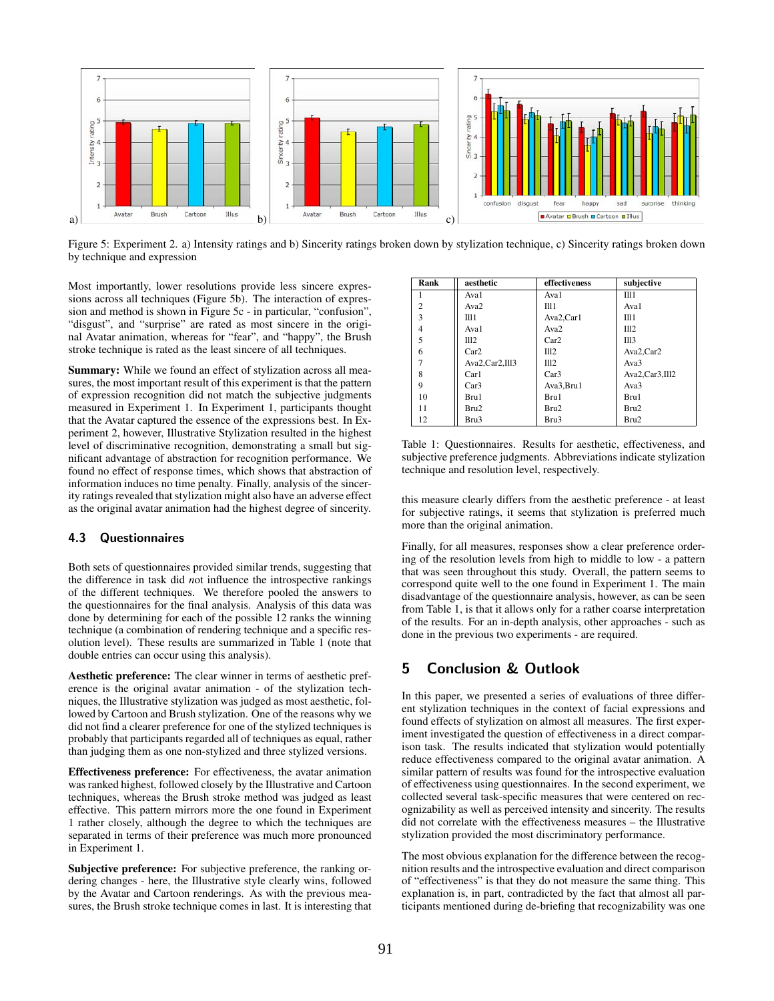

Figure 5: Experiment 2. a) Intensity ratings and b) Sincerity ratings broken down by stylization technique, c) Sincerity ratings broken down by technique and expression

Most importantly, lower resolutions provide less sincere expressions across all techniques (Figure 5b). The interaction of expression and method is shown in Figure 5c - in particular, "confusion", "disgust", and "surprise" are rated as most sincere in the original Avatar animation, whereas for "fear", and "happy", the Brush stroke technique is rated as the least sincere of all techniques.

Summary: While we found an effect of stylization across all measures, the most important result of this experiment is that the pattern of expression recognition did not match the subjective judgments measured in Experiment 1. In Experiment 1, participants thought that the Avatar captured the essence of the expressions best. In Experiment 2, however, Illustrative Stylization resulted in the highest level of discriminative recognition, demonstrating a small but significant advantage of abstraction for recognition performance. We found no effect of response times, which shows that abstraction of information induces no time penalty. Finally, analysis of the sincerity ratings revealed that stylization might also have an adverse effect as the original avatar animation had the highest degree of sincerity.

## 4.3 Questionnaires

Both sets of questionnaires provided similar trends, suggesting that the difference in task did *n*ot influence the introspective rankings of the different techniques. We therefore pooled the answers to the questionnaires for the final analysis. Analysis of this data was done by determining for each of the possible 12 ranks the winning technique (a combination of rendering technique and a specific resolution level). These results are summarized in Table 1 (note that double entries can occur using this analysis).

Aesthetic preference: The clear winner in terms of aesthetic preference is the original avatar animation - of the stylization techniques, the Illustrative stylization was judged as most aesthetic, followed by Cartoon and Brush stylization. One of the reasons why we did not find a clearer preference for one of the stylized techniques is probably that participants regarded all of techniques as equal, rather than judging them as one non-stylized and three stylized versions.

Effectiveness preference: For effectiveness, the avatar animation was ranked highest, followed closely by the Illustrative and Cartoon techniques, whereas the Brush stroke method was judged as least effective. This pattern mirrors more the one found in Experiment 1 rather closely, although the degree to which the techniques are separated in terms of their preference was much more pronounced in Experiment 1.

Subjective preference: For subjective preference, the ranking ordering changes - here, the Illustrative style clearly wins, followed by the Avatar and Cartoon renderings. As with the previous measures, the Brush stroke technique comes in last. It is interesting that

| Rank           | aesthetic        | effectiveness    | subjective     |
|----------------|------------------|------------------|----------------|
|                | Ava1             | Ava1             | II11           |
| $\overline{c}$ | Ava <sub>2</sub> | $\Pi$ 11         | Ava1           |
| 3              | T11 1            | Ava2,Car1        | $\Pi$ 11       |
| 4              | Ava1             | Ava <sub>2</sub> | III2           |
| 5              | II12             | Car2             | III3           |
| 6              | Car2             | I112             | Ava2,Car2      |
|                | Ava2.Car2.Ill3   | III2             | Ava3           |
| $\mathbf{8}$   | Car1             | Car3             | Ava2,Car3,Ill2 |
| 9              | Car3             | Ava3, Bru1       | Ava3           |
| 10             | Bru1             | Bru1             | Bru1           |
| 11             | Bru2             | Bru2             | Bru2           |
| 12             | Bru3             | Bru3             | Bru2           |

Table 1: Questionnaires. Results for aesthetic, effectiveness, and subjective preference judgments. Abbreviations indicate stylization technique and resolution level, respectively.

this measure clearly differs from the aesthetic preference - at least for subjective ratings, it seems that stylization is preferred much more than the original animation.

Finally, for all measures, responses show a clear preference ordering of the resolution levels from high to middle to low - a pattern that was seen throughout this study. Overall, the pattern seems to correspond quite well to the one found in Experiment 1. The main disadvantage of the questionnaire analysis, however, as can be seen from Table 1, is that it allows only for a rather coarse interpretation of the results. For an in-depth analysis, other approaches - such as done in the previous two experiments - are required.

# 5 Conclusion & Outlook

In this paper, we presented a series of evaluations of three different stylization techniques in the context of facial expressions and found effects of stylization on almost all measures. The first experiment investigated the question of effectiveness in a direct comparison task. The results indicated that stylization would potentially reduce effectiveness compared to the original avatar animation. A similar pattern of results was found for the introspective evaluation of effectiveness using questionnaires. In the second experiment, we collected several task-specific measures that were centered on recognizability as well as perceived intensity and sincerity. The results did not correlate with the effectiveness measures – the Illustrative stylization provided the most discriminatory performance.

The most obvious explanation for the difference between the recognition results and the introspective evaluation and direct comparison of "effectiveness" is that they do not measure the same thing. This explanation is, in part, contradicted by the fact that almost all participants mentioned during de-briefing that recognizability was one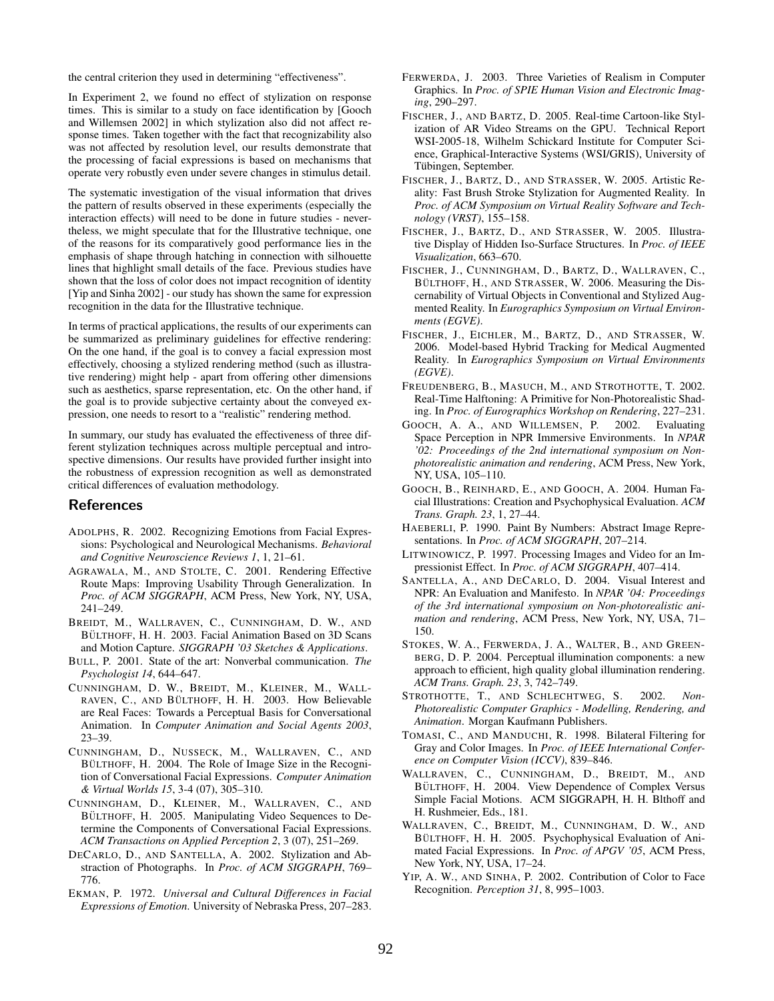the central criterion they used in determining "effectiveness".

In Experiment 2, we found no effect of stylization on response times. This is similar to a study on face identification by [Gooch and Willemsen 2002] in which stylization also did not affect response times. Taken together with the fact that recognizability also was not affected by resolution level, our results demonstrate that the processing of facial expressions is based on mechanisms that operate very robustly even under severe changes in stimulus detail.

The systematic investigation of the visual information that drives the pattern of results observed in these experiments (especially the interaction effects) will need to be done in future studies - nevertheless, we might speculate that for the Illustrative technique, one of the reasons for its comparatively good performance lies in the emphasis of shape through hatching in connection with silhouette lines that highlight small details of the face. Previous studies have shown that the loss of color does not impact recognition of identity [Yip and Sinha 2002] - our study has shown the same for expression recognition in the data for the Illustrative technique.

In terms of practical applications, the results of our experiments can be summarized as preliminary guidelines for effective rendering: On the one hand, if the goal is to convey a facial expression most effectively, choosing a stylized rendering method (such as illustrative rendering) might help - apart from offering other dimensions such as aesthetics, sparse representation, etc. On the other hand, if the goal is to provide subjective certainty about the conveyed expression, one needs to resort to a "realistic" rendering method.

In summary, our study has evaluated the effectiveness of three different stylization techniques across multiple perceptual and introspective dimensions. Our results have provided further insight into the robustness of expression recognition as well as demonstrated critical differences of evaluation methodology.

# References

- ADOLPHS, R. 2002. Recognizing Emotions from Facial Expressions: Psychological and Neurological Mechanisms. *Behavioral and Cognitive Neuroscience Reviews 1*, 1, 21–61.
- AGRAWALA, M., AND STOLTE, C. 2001. Rendering Effective Route Maps: Improving Usability Through Generalization. In *Proc. of ACM SIGGRAPH*, ACM Press, New York, NY, USA, 241–249.
- BREIDT, M., WALLRAVEN, C., CUNNINGHAM, D. W., AND BÜLTHOFF, H. H. 2003. Facial Animation Based on 3D Scans and Motion Capture. *SIGGRAPH '03 Sketches & Applications*.
- BULL, P. 2001. State of the art: Nonverbal communication. *The Psychologist 14*, 644–647.
- CUNNINGHAM, D. W., BREIDT, M., KLEINER, M., WALL-RAVEN, C., AND BÜLTHOFF, H. H. 2003. How Believable are Real Faces: Towards a Perceptual Basis for Conversational Animation. In *Computer Animation and Social Agents 2003*, 23–39.
- CUNNINGHAM, D., NUSSECK, M., WALLRAVEN, C., AND BÜLTHOFF, H. 2004. The Role of Image Size in the Recognition of Conversational Facial Expressions. *Computer Animation & Virtual Worlds 15*, 3-4 (07), 305–310.
- CUNNINGHAM, D., KLEINER, M., WALLRAVEN, C., AND BÜLTHOFF, H. 2005. Manipulating Video Sequences to Determine the Components of Conversational Facial Expressions. *ACM Transactions on Applied Perception 2*, 3 (07), 251–269.
- DECARLO, D., AND SANTELLA, A. 2002. Stylization and Abstraction of Photographs. In *Proc. of ACM SIGGRAPH*, 769– 776.
- EKMAN, P. 1972. *Universal and Cultural Differences in Facial Expressions of Emotion*. University of Nebraska Press, 207–283.
- FERWERDA, J. 2003. Three Varieties of Realism in Computer Graphics. In *Proc. of SPIE Human Vision and Electronic Imaging*, 290–297.
- FISCHER, J., AND BARTZ, D. 2005. Real-time Cartoon-like Stylization of AR Video Streams on the GPU. Technical Report WSI-2005-18, Wilhelm Schickard Institute for Computer Science, Graphical-Interactive Systems (WSI/GRIS), University of Tübingen, September.
- FISCHER, J., BARTZ, D., AND STRASSER, W. 2005. Artistic Reality: Fast Brush Stroke Stylization for Augmented Reality. In *Proc. of ACM Symposium on Virtual Reality Software and Technology (VRST)*, 155–158.
- FISCHER, J., BARTZ, D., AND STRASSER, W. 2005. Illustrative Display of Hidden Iso-Surface Structures. In *Proc. of IEEE Visualization*, 663–670.
- FISCHER, J., CUNNINGHAM, D., BARTZ, D., WALLRAVEN, C., BÜLTHOFF, H., AND STRASSER, W. 2006. Measuring the Discernability of Virtual Objects in Conventional and Stylized Augmented Reality. In *Eurographics Symposium on Virtual Environments (EGVE)*.
- FISCHER, J., EICHLER, M., BARTZ, D., AND STRASSER, W. 2006. Model-based Hybrid Tracking for Medical Augmented Reality. In *Eurographics Symposium on Virtual Environments (EGVE)*.
- FREUDENBERG, B., MASUCH, M., AND STROTHOTTE, T. 2002. Real-Time Halftoning: A Primitive for Non-Photorealistic Shading. In *Proc. of Eurographics Workshop on Rendering*, 227–231.
- GOOCH, A. A., AND WILLEMSEN, P. 2002. Evaluating Space Perception in NPR Immersive Environments. In *NPAR '02: Proceedings of the 2nd international symposium on Nonphotorealistic animation and rendering*, ACM Press, New York, NY, USA, 105–110.
- GOOCH, B., REINHARD, E., AND GOOCH, A. 2004. Human Facial Illustrations: Creation and Psychophysical Evaluation. *ACM Trans. Graph. 23*, 1, 27–44.
- HAEBERLI, P. 1990. Paint By Numbers: Abstract Image Representations. In *Proc. of ACM SIGGRAPH*, 207–214.
- LITWINOWICZ, P. 1997. Processing Images and Video for an Impressionist Effect. In *Proc. of ACM SIGGRAPH*, 407–414.
- SANTELLA, A., AND DECARLO, D. 2004. Visual Interest and NPR: An Evaluation and Manifesto. In *NPAR '04: Proceedings of the 3rd international symposium on Non-photorealistic animation and rendering*, ACM Press, New York, NY, USA, 71– 150.
- STOKES, W. A., FERWERDA, J. A., WALTER, B., AND GREEN-BERG, D. P. 2004. Perceptual illumination components: a new approach to efficient, high quality global illumination rendering. *ACM Trans. Graph. 23*, 3, 742–749.
- STROTHOTTE, T., AND SCHLECHTWEG, S. 2002. *Non-Photorealistic Computer Graphics - Modelling, Rendering, and Animation*. Morgan Kaufmann Publishers.
- TOMASI, C., AND MANDUCHI, R. 1998. Bilateral Filtering for Gray and Color Images. In *Proc. of IEEE International Conference on Computer Vision (ICCV)*, 839–846.
- WALLRAVEN, C., CUNNINGHAM, D., BREIDT, M., AND BÜLTHOFF, H. 2004. View Dependence of Complex Versus Simple Facial Motions. ACM SIGGRAPH, H. H. Blthoff and H. Rushmeier, Eds., 181.
- WALLRAVEN, C., BREIDT, M., CUNNINGHAM, D. W., AND BÜLTHOFF, H. H. 2005. Psychophysical Evaluation of Animated Facial Expressions. In *Proc. of APGV '05*, ACM Press, New York, NY, USA, 17–24.
- YIP, A. W., AND SINHA, P. 2002. Contribution of Color to Face Recognition. *Perception 31*, 8, 995–1003.